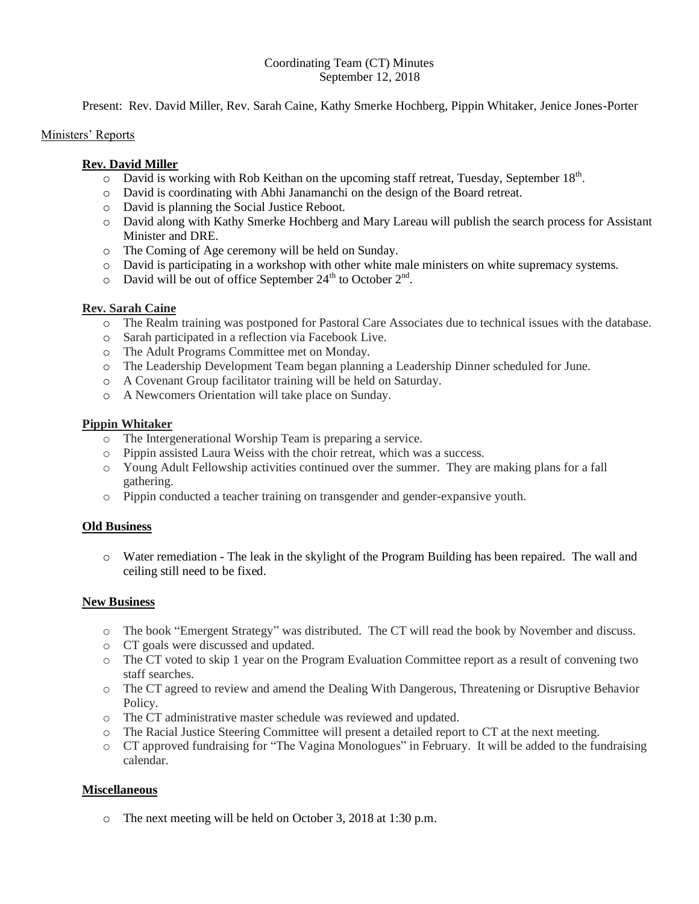### Coordinating Team (CT) Minutes September 12, 2018

Present: Rev. David Miller, Rev. Sarah Caine, Kathy Smerke Hochberg, Pippin Whitaker, Jenice Jones-Porter

### Ministers' Reports

### **Rev. David Miller**

- $\overline{O}$  David is working with Rob Keithan on the upcoming staff retreat, Tuesday, September 18<sup>th</sup>.
- o David is coordinating with Abhi Janamanchi on the design of the Board retreat.
- o David is planning the Social Justice Reboot.
- o David along with Kathy Smerke Hochberg and Mary Lareau will publish the search process for Assistant Minister and DRE.
- o The Coming of Age ceremony will be held on Sunday.
- o David is participating in a workshop with other white male ministers on white supremacy systems.
- $\circ$  David will be out of office September 24<sup>th</sup> to October 2<sup>nd</sup>.

## **Rev. Sarah Caine**

- o The Realm training was postponed for Pastoral Care Associates due to technical issues with the database.
- o Sarah participated in a reflection via Facebook Live.
- o The Adult Programs Committee met on Monday.
- o The Leadership Development Team began planning a Leadership Dinner scheduled for June.
- o A Covenant Group facilitator training will be held on Saturday.
- o A Newcomers Orientation will take place on Sunday.

## **Pippin Whitaker**

- o The Intergenerational Worship Team is preparing a service.
- o Pippin assisted Laura Weiss with the choir retreat, which was a success.
- o Young Adult Fellowship activities continued over the summer. They are making plans for a fall gathering.
- o Pippin conducted a teacher training on transgender and gender-expansive youth.

# **Old Business**

o Water remediation - The leak in the skylight of the Program Building has been repaired. The wall and ceiling still need to be fixed.

### **New Business**

- o The book "Emergent Strategy" was distributed. The CT will read the book by November and discuss.
- o CT goals were discussed and updated.
- o The CT voted to skip 1 year on the Program Evaluation Committee report as a result of convening two staff searches.
- o The CT agreed to review and amend the Dealing With Dangerous, Threatening or Disruptive Behavior Policy.
- o The CT administrative master schedule was reviewed and updated.
- o The Racial Justice Steering Committee will present a detailed report to CT at the next meeting.
- o CT approved fundraising for "The Vagina Monologues" in February. It will be added to the fundraising calendar.

### **Miscellaneous**

o The next meeting will be held on October 3, 2018 at 1:30 p.m.